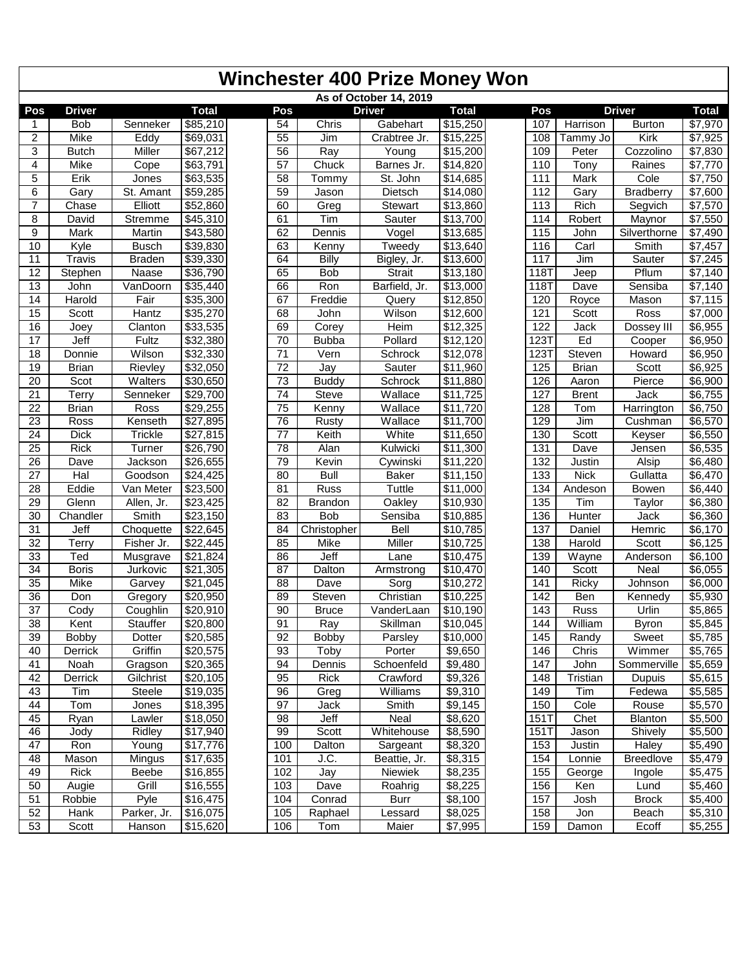|                 | <b>Winchester 400 Prize Money Won</b> |               |                      |                 |                |                        |                     |                   |              |                  |              |  |  |  |
|-----------------|---------------------------------------|---------------|----------------------|-----------------|----------------|------------------------|---------------------|-------------------|--------------|------------------|--------------|--|--|--|
|                 |                                       |               |                      |                 |                | As of October 14, 2019 |                     |                   |              |                  |              |  |  |  |
| Pos             | <b>Driver</b>                         |               | <b>Total</b>         | Pos             |                | <b>Driver</b>          | <b>Total</b>        | Pos               |              | <b>Driver</b>    | <b>Total</b> |  |  |  |
|                 | <b>Bob</b>                            | Senneker      | \$85,210             | 54              | Chris          | Gabehart               | \$15,250            | 107               | Harrison     | <b>Burton</b>    | \$7,970      |  |  |  |
| $\overline{2}$  | Mike                                  | Eddy          | \$69,031             | $\overline{55}$ | Jim            | Crabtree Jr.           | \$15,225            | 108               | Tammy Jo     | Kirk             | \$7,925      |  |  |  |
| 3               | <b>Butch</b>                          | Miller        | \$67,212             | 56              | Ray            | Young                  | $\sqrt{$15,200}$    | 109               | Peter        | Cozzolino        | \$7,830      |  |  |  |
| 4               | Mike                                  | Cope          | \$63,791             | $\overline{57}$ | Chuck          | Barnes Jr.             | \$14,820            | 110               | Tony         | Raines           | \$7,770      |  |  |  |
| 5               | Erik                                  | Jones         | \$63,535             | 58              | Tommy          | St. John               | \$14,685            | 111               | Mark         | Cole             | \$7,750      |  |  |  |
| 6               | Gary                                  | St. Amant     | \$59,285             | 59              | Jason          | Dietsch                | $\sqrt{$14,080}$    | 112               | Gary         | <b>Bradberry</b> | \$7,600      |  |  |  |
| 7               | Chase                                 | Elliott       | \$52,860             | 60              | Greg           | Stewart                | \$13,860            | 113               | Rich         | Segvich          | \$7,570      |  |  |  |
| 8               | David                                 | Stremme       | \$45,310             | 61              | Tim            | Sauter                 | \$13,700            | 114               | Robert       | Maynor           | \$7,550      |  |  |  |
| 9               | Mark                                  | Martin        | \$43,580             | 62              | Dennis         | Vogel                  | \$13,685            | $\overline{115}$  | John         | Silverthorne     | \$7,490      |  |  |  |
| 10              | Kyle                                  | <b>Busch</b>  | \$39,830             | 63              | Kenny          | Tweedy                 | \$13,640            | 116               | Carl         | Smith            | \$7,457      |  |  |  |
| 11              | <b>Travis</b>                         | <b>Braden</b> | \$39,330             | 64              | Billy          | Bigley, Jr.            | \$13,600            | 117               | Jim          | Sauter           | \$7,245      |  |  |  |
| $\overline{12}$ | Stephen                               | Naase         | \$36,790             | 65              | Bob            | <b>Strait</b>          | \$13,180            | <b>118T</b>       | Jeep         | Pflum            | \$7,140      |  |  |  |
| 13              | John                                  | VanDoorn      | \$35,440             | 66              | Ron            | Barfield, Jr.          | \$13,000            | 118T              | Dave         | Sensiba          | \$7,140      |  |  |  |
| 14              | Harold                                | Fair          | \$35,300             | 67              | Freddie        | Query                  | \$12,850            | 120               | Royce        | Mason            | \$7,115      |  |  |  |
| 15              | Scott                                 | <b>Hantz</b>  | \$35,270             | 68              | John           | Wilson                 | \$12,600            | 121               | Scott        | Ross             | \$7,000      |  |  |  |
| 16              | Joey                                  | Clanton       | \$33,535             | 69              | Corey          | Heim                   | \$12,325            | 122               | Jack         | Dossey III       | \$6,955      |  |  |  |
| 17              | Jeff                                  | Fultz         | \$32,380             | 70              | <b>Bubba</b>   | Pollard                | \$12,120            | 123T              | Ed           | Cooper           | \$6,950      |  |  |  |
| 18              | Donnie                                | Wilson        | 32,330               | $\overline{71}$ | Vern           | Schrock                | \$12,078            | $\overline{1231}$ | Steven       | Howard           | \$6,950      |  |  |  |
| 19              | <b>Brian</b>                          | Rievley       | 332,050              | $\overline{72}$ | Jay            | Sauter                 | \$11,960            | 125               | <b>Brian</b> | Scott            | \$6,925      |  |  |  |
| 20              | Scot                                  | Walters       | \$30,650             | 73              | <b>Buddy</b>   | Schrock                | \$11,880            | 126               | Aaron        | Pierce           | \$6,900      |  |  |  |
| 21              | Terry                                 | Senneker      | \$29,700             | $\overline{74}$ | <b>Steve</b>   | Wallace                | \$11,725            | 127               | <b>Brent</b> | Jack             | \$6,755      |  |  |  |
| 22              | <b>Brian</b>                          | Ross          | \$29,255             | $\overline{75}$ | Kenny          | Wallace                | \$11,720            | 128               | Tom          | Harrington       | \$6,750      |  |  |  |
| 23              | Ross                                  | Kenseth       | \$27,895             | 76              | Rusty          | Wallace                | \$11,700            | 129               | Jim          | Cushman          | \$6,570      |  |  |  |
| 24              | <b>Dick</b>                           | Trickle       | \$27,815             | 77              | Keith          | White                  | \$11,650            | 130               | Scott        | Keyser           | \$6,550      |  |  |  |
| 25              | <b>Rick</b>                           | Turner        | 326,790              | 78              | Alan           | Kulwicki               | \$11,300            | $\overline{131}$  | Dave         | Jensen           | \$6,535      |  |  |  |
| $\overline{26}$ | Dave                                  | Jackson       | \$26,655             | 79              | Kevin          | Cywinski               | \$11,220            | 132               | Justin       | Alsip            | \$6,480      |  |  |  |
| 27              | Hal                                   | Goodson       | \$24,425             | 80              | <b>Bull</b>    | <b>Baker</b>           | \$11,150            | $\overline{133}$  | <b>Nick</b>  | Gullatta         | \$6,470      |  |  |  |
| 28              | Eddie                                 | Van Meter     | \$23,500             | 81              | Russ           | <b>Tuttle</b>          | \$11,000            | 134               | Andeson      | <b>Bowen</b>     | \$6,440      |  |  |  |
| 29              | Glenn                                 | Allen, Jr.    | \$23,425             | $\overline{82}$ | <b>Brandon</b> | Oakley                 | \$10,930            | $\overline{135}$  | Tim          | Taylor           | \$6,380      |  |  |  |
| 30              | Chandler                              | Smith         | \$23,150             | 83              | <b>Bob</b>     | Sensiba                | \$10,885            | 136               | Hunter       | Jack             | \$6,360      |  |  |  |
| 31              | Jeff                                  | Choquette     | 322,645              | 84              | Christopher    | Bell                   | \$10,785            | $\overline{137}$  | Daniel       | Hemric           | \$6,170      |  |  |  |
| 32              | Terry                                 | Fisher Jr.    | $\sqrt{$22,445}$     | 85              | Mike           | Miller                 | \$10,725            | 138               | Harold       | Scott            | \$6,125      |  |  |  |
| 33              | Ted                                   | Musgrave      | \$21,824             | 86              | Jeff           | Lane                   | \$10,475            | 139               | Wayne        | Anderson         | \$6,100      |  |  |  |
| $\overline{34}$ | <b>Boris</b>                          | Jurkovic      | \$21,305             | $\overline{87}$ | Dalton         | Armstrong              | \$10,470            | 140               | Scott        | Neal             | \$6,055      |  |  |  |
| $\overline{35}$ | Mike                                  | Garvey        | \$21,045             | 88              | Dave           | Sorg                   | $\sqrt{$10,272}$    | 141               | Ricky        | Johnson          | \$6,000      |  |  |  |
| 36              | Don                                   | Gregory       | \$20,950             | 89              | Steven         | Christian              | \$10,225            | 142               | Ben          | Kennedy          | \$5,930      |  |  |  |
| $\overline{37}$ | Cody                                  | Coughlin      | \$20,910             | 90              | <b>Bruce</b>   | VanderLaan             | \$10,190            | 143               | Russ         | Urlin            | \$5,865      |  |  |  |
| 38              | Kent                                  | Stauffer      | $\sqrt{$20,800}$     | 91              | Ray            | Skillman               | $\sqrt{$10,045}$    | 144               | William      | <b>Byron</b>     | \$5,845      |  |  |  |
| 39              | <b>Bobby</b>                          | Dotter        | $\overline{$}20,585$ | 92              | <b>Bobby</b>   | Parsley                | \$10,000            | 145               | Randy        | Sweet            | \$5,785      |  |  |  |
| 40              | Derrick                               | Griffin       | \$20,575             | 93              | Toby           | Porter                 | \$9,650             | 146               | Chris        | Wimmer           | \$5,765      |  |  |  |
| 41              | Noah                                  | Gragson       | $\sqrt{$20,365}$     | 94              | Dennis         | Schoenfeld             | \$9,480             | 147               | John         | Sommerville      | \$5,659      |  |  |  |
| 42              | Derrick                               | Gilchrist     | $\overline{$}20,105$ | 95              | Rick           | Crawford               | \$9,326             | 148               | Tristian     | Dupuis           | \$5,615      |  |  |  |
| 43              | Tim                                   | Steele        | \$19,035             | 96              | Greg           | Williams               | \$9,310             | 149               | Tim          | Fedewa           | \$5,585      |  |  |  |
| 44              | Tom                                   | Jones         | $\sqrt{$18,395}$     | 97              | Jack           | Smith                  | $\overline{$9,145}$ | 150               | Cole         | Rouse            | \$5,570      |  |  |  |
| 45              | Ryan                                  | Lawler        | \$18,050             | 98              | Jeff           | Neal                   | \$8,620             | 151T              | Chet         | Blanton          | \$5,500      |  |  |  |
| 46              | Jody                                  | Ridley        | \$17,940             | 99              | Scott          | Whitehouse             | \$8,590             | 151T              | Jason        | Shively          | \$5,500      |  |  |  |
| 47              | Ron                                   | Young         | \$17,776             | 100             | Dalton         | Sargeant               | \$8,320             | 153               | Justin       | Haley            | \$5,490      |  |  |  |
| 48              | Mason                                 | Mingus        | \$17,635             | 101             | J.C.           | Beattie, Jr.           | \$8,315             | 154               | Lonnie       | <b>Breedlove</b> | \$5,479      |  |  |  |
| 49              | Rick                                  | Beebe         | $\sqrt{$16,855}$     | 102             | Jay            | Niewiek                | \$8,235             | 155               | George       | Ingole           | \$5,475      |  |  |  |
| 50              | Augie                                 | Grill         | $\overline{$}16,555$ | 103             | Dave           | Roahrig                | $\overline{$8,225}$ | 156               | Ken          | Lund             | \$5,460      |  |  |  |
| 51              | Robbie                                | Pyle          | $\sqrt{$16,475}$     | 104             | Conrad         | Burr                   | \$8,100             | 157               | Josh         | <b>Brock</b>     | \$5,400      |  |  |  |
| 52              | Hank                                  | Parker, Jr.   | \$16,075             | 105             | Raphael        | Lessard                | \$8,025             | 158               | Jon          | Beach            | \$5,310      |  |  |  |
| 53              | Scott                                 | Hanson        | $\sqrt{$15,620}$     | 106             | Tom            | Maier                  | \$7,995             | 159               | Damon        | Ecoff            | \$5,255      |  |  |  |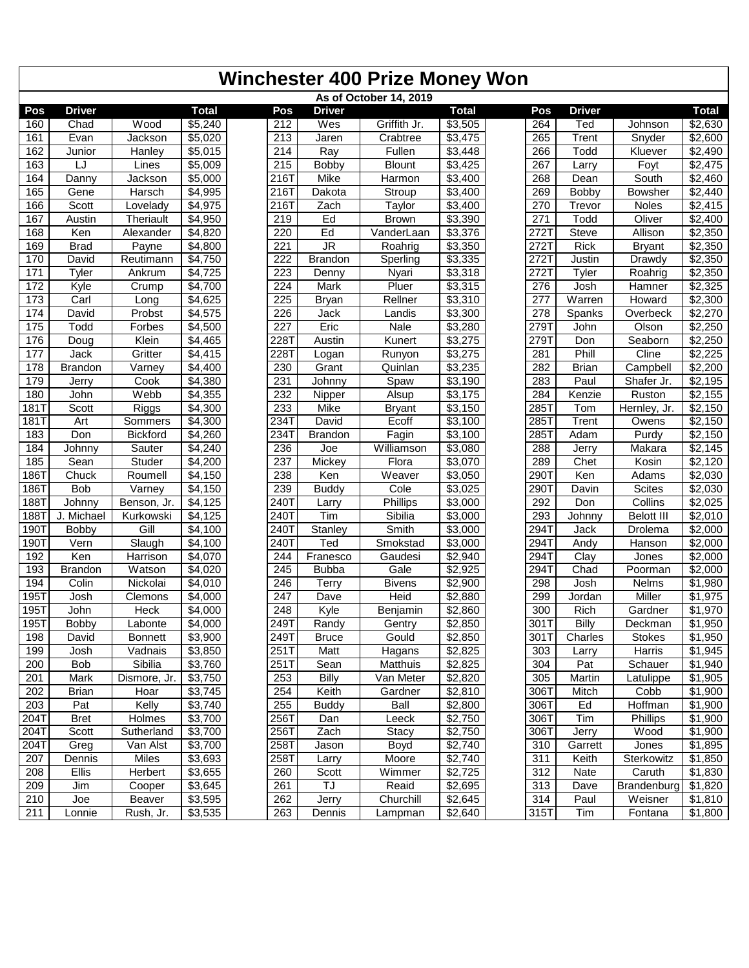|             |                |                      |              |                   |                                   | <b>Winchester 400 Prize Money Won</b> |                     |                  |               |                   |                     |
|-------------|----------------|----------------------|--------------|-------------------|-----------------------------------|---------------------------------------|---------------------|------------------|---------------|-------------------|---------------------|
|             |                |                      |              |                   |                                   | As of October 14, 2019                |                     |                  |               |                   |                     |
| Pos         | <b>Driver</b>  |                      | <b>Total</b> | Pos               | <b>Driver</b>                     |                                       | <b>Total</b>        | Pos              | <b>Driver</b> |                   | <b>Total</b>        |
| 160         | Chad           | Wood                 | \$5,240      | 212               | Wes                               | Griffith Jr.                          | \$3,505             | 264              | Ted           | Johnson           | \$2,630             |
| 161         | Evan           | Jackson              | \$5,020      | 213               | Jaren                             | Crabtree                              | \$3,475             | 265              | Trent         | Snyder            | \$2,600             |
| 162         | Junior         | Hanley               | \$5,015      | $\overline{214}$  | Ray                               | Fullen                                | \$3,448             | 266              | Todd          | Kluever           | $\sqrt{$2,490}$     |
| 163         | LJ             | Lines                | \$5,009      | 215               | <b>Bobby</b>                      | <b>Blount</b>                         | \$3,425             | 267              | Larry         | Foyt              | \$2,475             |
| 164         | Danny          | Jackson              | \$5,000      | 216T              | Mike                              | Harmon                                | \$3,400             | 268              | Dean          | South             | \$2,460             |
| 165         | Gene           | Harsch               | \$4,995      | 2161              | Dakota                            | Stroup                                | \$3,400             | 269              | Bobby         | <b>Bowsher</b>    | \$2,440             |
| 166         | Scott          | Lovelady             | \$4,975      | 216T              | Zach                              | Taylor                                | \$3,400             | 270              | Trevor        | <b>Noles</b>      | \$2,415             |
| 167         | Austin         | <b>Theriault</b>     | \$4,950      | 219               | Ed                                | <b>Brown</b>                          | \$3,390             | 271              | Todd          | Oliver            | \$2,400             |
| 168         | Ken            | Alexander            | \$4,820      | 220               | Ed                                | VanderLaan                            | \$3,376             | $272$ T          | <b>Steve</b>  | Allison           | \$2,350             |
| 169         | <b>Brad</b>    | Payne                | \$4,800      | $\overline{221}$  | $\overline{\mathsf{J}\mathsf{R}}$ | Roahrig                               | \$3,350             | $272$ T          | <b>Rick</b>   | <b>Bryant</b>     | \$2,350             |
| 170         | David          | Reutimann            | \$4,750      | 222               | <b>Brandon</b>                    | Sperling                              | \$3,335             | 272T             | Justin        | Drawdy            | \$2,350             |
| 171         | Tyler          | Ankrum               | \$4,725      | $\overline{223}$  | Denny                             | Nyari                                 | \$3,318             | 272T             | Tyler         | Roahrig           | \$2,350             |
| 172         | Kyle           | Crump                | \$4,700      | 224               | Mark                              | Pluer                                 | \$3,315             | 276              | Josh          | Hamner            | \$2,325             |
| 173         | Carl           | Long                 | \$4,625      | 225               | Bryan                             | Rellner                               | $\sqrt{$3,310}$     | $\overline{277}$ | Warren        | Howard            | \$2,300             |
| 174         | David          | Probst               | \$4,575      | 226               | Jack                              | Landis                                | \$3,300             | $\overline{278}$ | Spanks        | Overbeck          | \$2,270             |
| 175         | <b>Todd</b>    | Forbes               | \$4,500      | 227               | Eric                              | Nale                                  | $\overline{$}3,280$ | 279T             | John          | Olson             | \$2,250             |
| 176         | Doug           | Klein                | \$4,465      | 2281              | Austin                            | Kunert                                | \$3,275             | 2791             | Don           | Seaborn           | \$2,250             |
| 177         | Jack           | Gritter              | \$4,415      | 228T              | Logan                             | Runyon                                | \$3,275             | 281              | Phill         | Cline             | \$2,225             |
| 178         | <b>Brandon</b> | Varney               | \$4,400      | 230               | Grant                             | Quinlan                               | \$3,235             | 282              | <b>Brian</b>  | Campbell          | \$2,200             |
| 179         | Jerry          | Cook                 | \$4,380      | 231               | Johnny                            | Spaw                                  | \$3,190             | 283              | Paul          | Shafer Jr.        | \$2,195             |
| 180         | John           | Webb                 | \$4,355      | 232               | Nipper                            | Alsup                                 | \$3,175             | 284              | Kenzie        | Ruston            | \$2,155             |
| 181T        | Scott          | Riggs                | \$4,300      | 233               | <b>Mike</b>                       | <b>Bryant</b>                         | \$3,150             | 285T             | Tom           | Hernley, Jr.      | $\overline{$}2,150$ |
| <b>181T</b> | Art            | Sommers              | \$4,300      | 234T              | David                             | Ecoff                                 | $\sqrt{$3,100}$     | 285T             | Trent         | Owens             | $\overline{$2,150}$ |
| 183         | Don            | <b>Bickford</b>      | \$4,260      | 234T              | <b>Brandon</b>                    | Fagin                                 | \$3,100             | 285T             | Adam          | Purdy             | \$2,150             |
| 184         | Johnny         | Sauter               | \$4,240      | 236               | Joe                               | Williamson                            | \$3,080             | 288              | Jerry         | Makara            | \$2,145             |
| 185         | Sean           | Studer               | \$4,200      | 237               | Mickey                            | Flora                                 | \$3,070             | 289              | Chet          | Kosin             | \$2,120             |
| 1861        | Chuck          | Roumell              | \$4,150      | 238               | Ken                               | Weaver                                | \$3,050             | 290T             | Ken           | Adams             | \$2,030             |
| 186T        | Bob            | $\overline{V}$ arney | \$4,150      | 239               | <b>Buddy</b>                      | Cole                                  | \$3,025             | 2901             | Davin         | Scites            | \$2,030             |
| 188T        | Johnny         | Benson, Jr.          | \$4,125      | 240T              | Larry                             | Phillips                              | \$3,000             | 292              | Don           | Collins           | \$2,025             |
| 1887        | J. Michael     | Kurkowski            | \$4,125      | 240T              | Tim                               | Sibilia                               | \$3,000             | 293              | Johnny        | <b>Belott III</b> | \$2,010             |
| <b>190T</b> | Bobby          | Gill                 | \$4,100      | 2401              | Stanley                           | Smith                                 | \$3,000             | 2941             | Jack          | Drolema           | \$2,000             |
| 1901        | Vern           | Slaugh               | \$4,100      | 240T              | Ted                               | Smokstad                              | \$3,000             | 294T             | Andy          | Hanson            | \$2,000             |
| 192         | Ken            | Harrison             | \$4,070      | 244               | Franesco                          | Gaudesi                               | \$2,940             | 294T             | Clay          | Jones             | \$2,000             |
| 193         | <b>Brandon</b> | Watson               | \$4,020      | $\overline{245}$  | <b>Bubba</b>                      | Gale                                  | \$2,925             | 294T             | Chad          | Poorman           | \$2,000             |
| 194         | Colin          | Nickolai             | \$4,010      | 246               | Terry                             | <b>Bivens</b>                         | \$2,900             | 298              | Josh          | Nelms             | \$1,980             |
| 195T        | Josh           | Clemons              | \$4,000      | 247               | Dave                              | Heid                                  | \$2,880             | 299              | Jordan        | Miller            | \$1,975             |
| 195T        | John           | Heck                 | \$4,000      | 248               | Kyle                              | Benjamin                              | \$2,860             | 300              | Rich          | Gardner           | \$1,970             |
| 195T        | <b>Bobby</b>   | Labonte              | \$4,000      | 249T              | Randy                             | Gentry                                | $\overline{$}2,850$ | 301T             | Billy         | Deckman           | \$1,950             |
| 198         | David          | <b>Bonnett</b>       | \$3,900      | 249T              | <b>Bruce</b>                      | Gould                                 | \$2,850             | 301T             | Charles       | <b>Stokes</b>     | \$1,950             |
| 199         | Josh           | Vadnais              | \$3,850      | 251T              | Matt                              | Hagans                                | \$2,825             | 303              | Larry         | Harris            | \$1,945             |
| 200         | <b>Bob</b>     | Sibilia              | \$3,760      | 251T              | Sean                              | Matthuis                              | \$2,825             | 304              | Pat           | Schauer           | \$1,940             |
| 201         | Mark           | Dismore, Jr.         | \$3,750      | 253               | <b>Billy</b>                      | Van Meter                             | \$2,820             | 305              | Martin        | Latulippe         | \$1,905             |
| 202         | <b>Brian</b>   | Hoar                 | \$3,745      | $25\overline{4}$  | Keith                             | Gardner                               | \$2,810             | 306T             | Mitch         | Cobb              | \$1,900             |
| 203         | Pat            | Kelly                | \$3,740      | 255               | <b>Buddy</b>                      | Ball                                  | \$2,800             | 306T             | Ed            | Hoffman           | \$1,900             |
| 204T        | <b>Bret</b>    | <b>Holmes</b>        | \$3,700      | 256T              | Dan                               | Leeck                                 | $\overline{$}2,750$ | 306T             | Tim           | Phillips          | $\overline{$}1,900$ |
| 204T        | Scott          | Sutherland           | \$3,700      | $256\overline{T}$ | Zach                              | Stacy                                 | \$2,750             | 306T             | Jerry         | Wood              | \$1,900             |
| 204T        | Greg           | Van Alst             | \$3,700      | 258T              | Jason                             | Boyd                                  | \$2,740             | 310              | Garrett       | Jones             | \$1,895             |
| 207         | Dennis         | Miles                | \$3,693      | 258T              | Larry                             | Moore                                 | $\sqrt{$2,740}$     | 311              | Keith         | Sterkowitz        | \$1,850             |
| 208         | Ellis          | Herbert              | \$3,655      | 260               | Scott                             | Wimmer                                | \$2,725             | 312              | Nate          | Caruth            | \$1,830             |
| 209         | Jim            | Cooper               | \$3,645      | 261               | TJ                                | Reaid                                 | \$2,695             | 313              | Dave          | Brandenburg       | \$1,820             |
| 210         | Joe            | Beaver               | \$3,595      | 262               | Jerry                             | Churchill                             | $\overline{$}2,645$ | 314              | Paul          | Weisner           | \$1,810             |
| 211         | Lonnie         | Rush, Jr.            | \$3,535      | 263               | Dennis                            | Lampman                               | \$2,640             | 315T             | Tim           | Fontana           | \$1,800             |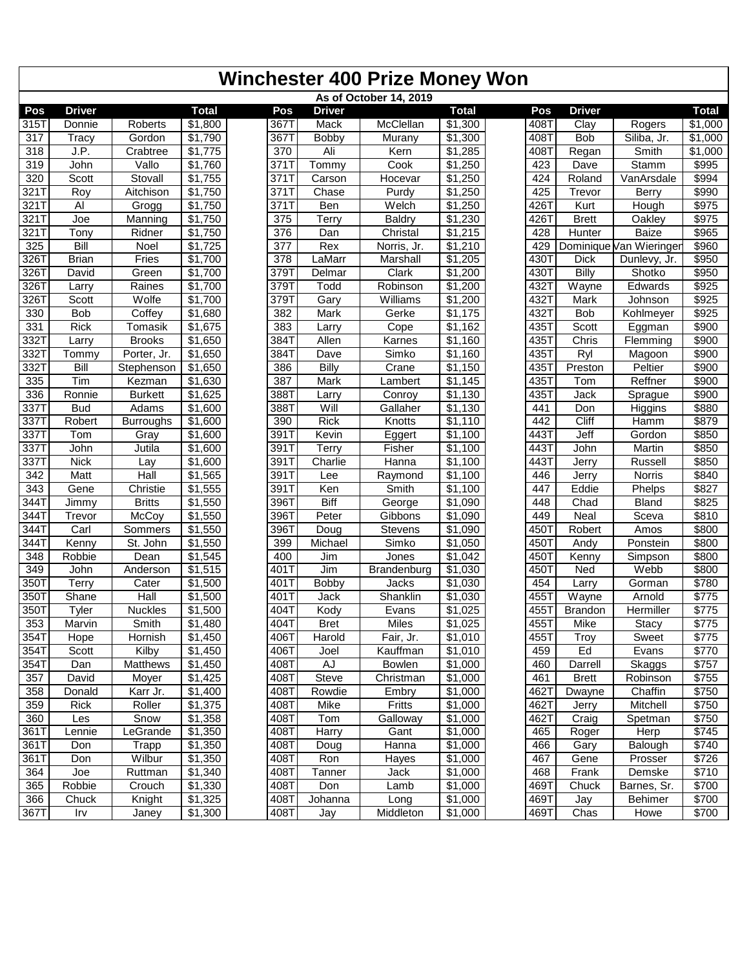|                   | <b>Winchester 400 Prize Money Won</b> |                  |                     |      |               |                        |                     |                   |               |                         |              |  |  |
|-------------------|---------------------------------------|------------------|---------------------|------|---------------|------------------------|---------------------|-------------------|---------------|-------------------------|--------------|--|--|
|                   |                                       |                  |                     |      |               | As of October 14, 2019 |                     |                   |               |                         |              |  |  |
| Pos               | <b>Driver</b>                         |                  | <b>Total</b>        | Pos  | <b>Driver</b> |                        | <b>Total</b>        | Pos               | <b>Driver</b> |                         | <b>Total</b> |  |  |
| 315T              | Donnie                                | Roberts          | \$1,800             | 367T | Mack          | McClellan              | \$1,300             | 408T              | Clay          | Rogers                  | \$1,000      |  |  |
| 317               | <b>Tracy</b>                          | Gordon           | \$1,790             | 367T | <b>Bobby</b>  | Murany                 | \$1,300             | $408\overline{T}$ | <b>Bob</b>    | Siliba, Jr.             | \$1,000      |  |  |
| 318               | J.P.                                  | Crabtree         | \$1,775             | 370  | Ali           | Kern                   | $\overline{$}1,285$ | 408T              | Regan         | Smith                   | \$1,000      |  |  |
| 319               | John                                  | Vallo            | \$1,760             | 371T | Tommy         | Cook                   | \$1,250             | 423               | Dave          | Stamm                   | \$995        |  |  |
| 320               | Scott                                 | Stovall          | \$1,755             | 371T | Carson        | Hocevar                | \$1,250             | 424               | Roland        | VanArsdale              | \$994        |  |  |
| 3211              | Roy                                   | Aitchison        | \$1,750             | 371T | Chase         | Purdy                  | \$1,250             | 425               | Trevor        | Berry                   | \$990        |  |  |
| 3211              | Al                                    | Grogg            | \$1,750             | 371T | Ben           | Welch                  | \$1,250             | 426T              | Kurt          | Hough                   | \$975        |  |  |
| $321\overline{1}$ | Joe                                   | Manning          | \$1,750             | 375  | Terry         | <b>Baldry</b>          | \$1,230             | 426T              | <b>Brett</b>  | Oakley                  | \$975        |  |  |
| 321 T             | Tony                                  | Ridner           | \$1,750             | 376  | Dan           | Christal               | \$1,215             | 428               | <b>Hunter</b> | <b>Baize</b>            | \$965        |  |  |
| 325               | Bill                                  | Noel             | \$1,725             | 377  | Rex           | Norris, Jr.            | \$1,210             | 429               |               | Dominique Van Wieringer | \$960        |  |  |
| 3261              | <b>Brian</b>                          | Fries            | \$1,700             | 378  | LaMarr        | Marshall               | \$1,205             | 4301              | <b>Dick</b>   | Dunlevy, Jr.            | \$950        |  |  |
| 3261              | David                                 | Green            | \$1,700             | 3791 | Delmar        | Clark                  | \$1,200             | 4301              | <b>Billy</b>  | Shotko                  | \$950        |  |  |
| 3261              | Larry                                 | Raines           | \$1,700             | 379T | Todd          | Robinson               | \$1,200             | 432T              | Wayne         | Edwards                 | \$925        |  |  |
| 3261              | Scott                                 | Wolfe            | \$1,700             | 3791 | Gary          | Williams               | \$1,200             | 432T              | Mark          | Johnson                 | \$925        |  |  |
| 330               | <b>Bob</b>                            | Coffey           | \$1,680             | 382  | Mark          | Gerke                  | \$1,175             | 4321              | Bob           | Kohlmeyer               | \$925        |  |  |
| 331               | Rick                                  | Tomasik          | \$1,675             | 383  | Larry         | Cope                   | \$1,162             | 435               | Scott         | Eggman                  | \$900        |  |  |
| 3321              | Larry                                 | <b>Brooks</b>    | \$1,650             | 384T | Allen         | Karnes                 | \$1,160             | 435T              | Chris         | Flemming                | \$900        |  |  |
| 3321              | Tommy                                 | Porter, Jr.      | \$1,650             | 384T | Dave          | Simko                  | \$1,160             | 4351              | Ryl           | Magoon                  | \$900        |  |  |
| 3321              | Bill                                  | Stephenson       | \$1,650             | 386  | Billy         | Crane                  | \$1,150             | 4357              | Preston       | Peltier                 | \$900        |  |  |
| 335               | Tim                                   | Kezman           | $\overline{$}1,630$ | 387  | Mark          | Lambert                | \$1,145             | 435T              | Tom           | Reffner                 | \$900        |  |  |
| 336               | Ronnie                                | <b>Burkett</b>   | \$1,625             | 388T | Larry         | Conroy                 | \$1,130             | 435T              | Jack          | Sprague                 | \$900        |  |  |
| 3371              | <b>Bud</b>                            | Adams            | \$1,600             | 388T | Will          | Gallaher               | \$1,130             | 441               | Don           | Higgins                 | \$880        |  |  |
| 3371              | Robert                                | <b>Burroughs</b> | \$1,600             | 390  | <b>Rick</b>   | Knotts                 | \$1,110             | 442               | Cliff         | Hamm                    | \$879        |  |  |
| 3371              | Tom                                   | Gray             | \$1,600             | 391T | Kevin         | Eggert                 | \$1,100             | 443T              | Jeff          | Gordon                  | \$850        |  |  |
| 3371              | John                                  | Jutila           | \$1,600             | 391T | Terry         | Fisher                 | \$1,100             | 443T              | John          | Martin                  | \$850        |  |  |
| 3371              | <b>Nick</b>                           | Lay              | \$1,600             | 391T | Charlie       | Hanna                  | \$1,100             | 443T              | Jerry         | Russell                 | \$850        |  |  |
| 342               | Matt                                  | Hall             | \$1,565             | 391T | Lee           | Raymond                | \$1,100             | 446               | Jerry         | <b>Norris</b>           | \$840        |  |  |
| 343               | Gene                                  | Christie         | \$1,555             | 391T | Ken           | Smith                  | \$1,100             | 447               | Eddie         | Phelps                  | \$827        |  |  |
| 3441              | Jimmy                                 | <b>Britts</b>    | \$1,550             | 396T | <b>Biff</b>   | George                 | \$1,090             | 448               | Chad          | <b>Bland</b>            | \$825        |  |  |
| 3441              | Trevor                                | McCoy            | \$1,550             | 396T | Peter         | Gibbons                | \$1,090             | 449               | Neal          | Sceva                   | \$810        |  |  |
| 3441              | Carl                                  | Sommers          | \$1,550             | 3967 | Doug          | Stevens                | $\overline{$}1,090$ | 450T              | Robert        | Amos                    | \$800        |  |  |
| 3441              |                                       |                  | \$1,550             | 399  |               | Simko                  | $\overline{$}1,050$ | 4507              | Andy          | Ponstein                | \$800        |  |  |
| 348               | Kenny<br>Robbie                       | St. John<br>Dean |                     | 400  | Michael       | Jones                  |                     |                   |               | Simpson                 | \$800        |  |  |
|                   |                                       |                  | \$1,545             |      | Jim           |                        | \$1,042             | 450T              | Kenny         |                         |              |  |  |
| 349               | John                                  | Anderson         | \$1,515             | 401T | Jim           | Brandenburg            | \$1,030             | 450T              | Ned           | Webb                    | \$800        |  |  |
| 350T              | Terry                                 | Cater            | \$1,500             | 401T | <b>Bobby</b>  | Jacks                  | \$1,030             | 454               | Larry         | Gorman                  | \$780        |  |  |
| 350T              | Shane                                 | Hall             | \$1,500             | 401T | Jack          | Shanklin               | \$1,030             | 455T              | Wayne         | Arnold                  | \$775        |  |  |
| 350T              | <b>Tyler</b>                          | Nuckles          | \$1,500             | 404T | Kody          | Evans                  | \$1,025             |                   | 455T Brandon  | Hermiller               | \$775        |  |  |
| 353               | Marvin                                | Smith            | \$1,480             | 404T | <b>Bret</b>   | <b>Miles</b>           | \$1,025             | 455T              | Mike          | Stacy                   | \$775        |  |  |
| 354T              | Hope                                  | Hornish          | \$1,450             | 406T | Harold        | Fair, Jr.              | \$1,010             | 455T              | Troy          | Sweet                   | \$775        |  |  |
| 354T              | Scott                                 | Kilby            | \$1,450             | 406T | Joel          | Kauffman               | \$1,010             | 459               | Ed            | Evans                   | \$770        |  |  |
| 354T              | Dan                                   | <b>Matthews</b>  | \$1,450             | 408T | AJ            | <b>Bowlen</b>          | \$1,000             | 460               | Darrell       | Skaggs                  | \$757        |  |  |
| 357               | David                                 | Moyer            | \$1,425             | 408T | <b>Steve</b>  | Christman              | \$1,000             | 461               | <b>Brett</b>  | Robinson                | \$755        |  |  |
| 358               | Donald                                | Karr Jr.         | \$1,400             | 408T | Rowdie        | Embry                  | \$1,000             | 462T              | Dwayne        | Chaffin                 | \$750        |  |  |
| 359               | <b>Rick</b>                           | Roller           | \$1,375             | 408T | Mike          | Fritts                 | \$1,000             | 462T              | Jerry         | Mitchell                | \$750        |  |  |
| 360               | Les                                   | Snow             | \$1,358             | 408T | Tom           | Galloway               | \$1,000             | 462T              | Craig         | Spetman                 | \$750        |  |  |
| 361T              | Lennie                                | LeGrande         | \$1,350             | 408T | Harry         | Gant                   | \$1,000             | 465               | Roger         | Herp                    | \$745        |  |  |
| 361T              | Don                                   | Trapp            | \$1,350             | 408T | Doug          | Hanna                  | \$1,000             | 466               | Gary          | Balough                 | \$740        |  |  |
| 361T              | Don                                   | Wilbur           | \$1,350             | 408T | Ron           | Hayes                  | \$1,000             | 467               | Gene          | Prosser                 | \$726        |  |  |
| 364               | Joe                                   | Ruttman          | \$1,340             | 408T | Tanner        | Jack                   | \$1,000             | 468               | Frank         | Demske                  | \$710        |  |  |
| 365               | Robbie                                | Crouch           | \$1,330             | 408T | Don           | Lamb                   | \$1,000             | 469T              | Chuck         | Barnes, Sr.             | \$700        |  |  |
| 366               | Chuck                                 | Knight           | \$1,325             | 408T | Johanna       | Long                   | \$1,000             | 469T              | Jay           | <b>Behimer</b>          | \$700        |  |  |
| 367T              | Irv                                   | Janey            | \$1,300             | 408T | Jay           | Middleton              | \$1,000             | 469T              | Chas          | Howe                    | \$700        |  |  |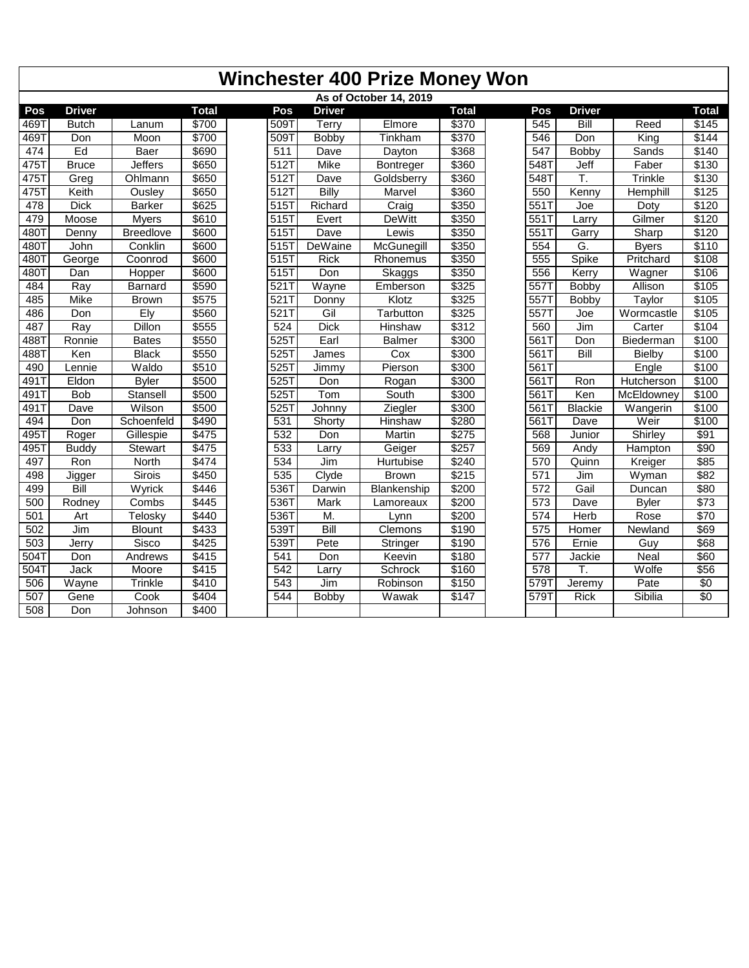|                  | <b>Winchester 400 Prize Money Won</b> |                  |              |                  |                |                        |              |  |                  |                |              |                   |  |
|------------------|---------------------------------------|------------------|--------------|------------------|----------------|------------------------|--------------|--|------------------|----------------|--------------|-------------------|--|
|                  |                                       |                  |              |                  |                | As of October 14, 2019 |              |  |                  |                |              |                   |  |
| Pos              | <b>Driver</b>                         |                  | <b>Total</b> | Pos              | <b>Driver</b>  |                        | <b>Total</b> |  | Pos              | <b>Driver</b>  |              | <b>Total</b>      |  |
| 469T             | <b>Butch</b>                          | Lanum            | \$700        | 509T             | Terry          | Elmore                 | \$370        |  | 545              | Bill           | Reed         | \$145             |  |
| 4691             | Don                                   | Moon             | \$700        | 509T             | Bobby          | Tinkham                | \$370        |  | 546              | Don            | King         | \$144             |  |
| 474              | Ed                                    | Baer             | \$690        | $\overline{511}$ | Dave           | Dayton                 | \$368        |  | $\overline{547}$ | <b>Bobby</b>   | Sands        | \$140             |  |
| 4751             | <b>Bruce</b>                          | <b>Jeffers</b>   | \$650        | $512$ T          | Mike           | Bontreger              | \$360        |  | 548T             | Jeff           | Faber        | \$130             |  |
| 4751             | Greg                                  | Ohlmann          | \$650        | 512T             | Dave           | Goldsberry             | \$360        |  | 5481             | T.             | Trinkle      | \$130             |  |
| 4751             | Keith                                 | Ousley           | \$650        | 512T             | <b>Billy</b>   | Marvel                 | \$360        |  | 550              | Kenny          | Hemphill     | $\overline{$125}$ |  |
| 478              | <b>Dick</b>                           | <b>Barker</b>    | \$625        | 515T             | Richard        | Craig                  | \$350        |  | 551              | Joe            | Doty         | \$120             |  |
| 479              | Moose                                 | Myers            | \$610        | 515T             | Evert          | <b>DeWitt</b>          | \$350        |  | 551              | Larry          | Gilmer       | \$120             |  |
| 4801             | Denny                                 | <b>Breedlove</b> | \$600        | 515T             | Dave           | Lewis                  | \$350        |  | 551              | Garry          | Sharp        | \$120             |  |
| 4801             | John                                  | Conklin          | \$600        | 515              | <b>DeWaine</b> | McGunegill             | \$350        |  | 554              | G.             | <b>Byers</b> | \$110             |  |
| 4801             | George                                | Coonrod          | \$600        | 515T             | <b>Rick</b>    | Rhonemus               | \$350        |  | 555              | Spike          | Pritchard    | \$108             |  |
| 4801             | Dan                                   | Hopper           | \$600        | 515T             | Don            | Skaggs                 | \$350        |  | 556              | Kerry          | Wagner       | \$106             |  |
| 484              | Ray                                   | <b>Barnard</b>   | \$590        | 521T             | Wayne          | Emberson               | \$325        |  | 5571             | <b>Bobby</b>   | Allison      | \$105             |  |
| 485              | Mike                                  | <b>Brown</b>     | \$575        | 521              | Donny          | Klotz                  | 3325         |  | 5571             | <b>Bobby</b>   | Taylor       | \$105             |  |
| 486              | Don                                   | Ely              | \$560        | 521T             | Gil            | Tarbutton              | \$325        |  | 557T             | Joe            | Wormcastle   | \$105             |  |
| 487              | Ray                                   | Dillon           | \$555        | 524              | <b>Dick</b>    | <b>Hinshaw</b>         | \$312        |  | 560              | Jim            | Carter       | \$104             |  |
| 4881             | Ronnie                                | <b>Bates</b>     | \$550        | 5251             | Earl           | <b>Balmer</b>          | \$300        |  | 561              | Don            | Biederman    | \$100             |  |
| 4887             | Ken                                   | <b>Black</b>     | \$550        | 525T             | James          | Cox                    | \$300        |  | 561T             | <b>Bill</b>    | Bielby       | \$100             |  |
| 490              | Lennie                                | Waldo            | \$510        | 525T             | Jimmy          | Pierson                | \$300        |  | 561T             |                | Engle        | \$100             |  |
| 4911             | Eldon                                 | <b>Byler</b>     | \$500        | 525T             | Don            | Rogan                  | \$300        |  | 561T             | Ron            | Hutcherson   | \$100             |  |
| 4911             | <b>Bob</b>                            | Stansell         | \$500        | $525$ T          | Tom            | South                  | \$300        |  | 561T             | Ken            | McEldowney   | \$100             |  |
| 4911             | Dave                                  | Wilson           | \$500        | 5251             | Johnny         | Ziegler                | \$300        |  | 561T             | <b>Blackie</b> | Wangerin     | \$100             |  |
| 494              | Don                                   | Schoenfeld       | \$490        | $\overline{531}$ | Shorty         | Hinshaw                | \$280        |  | 561T             | Dave           | Weir         | \$100             |  |
| 4951             | Roger                                 | Gillespie        | \$475        | 532              | Don            | <b>Martin</b>          | \$275        |  | 568              | Junior         | Shirley      | \$91              |  |
| 4951             | <b>Buddy</b>                          | Stewart          | \$475        | 533              | Larry          | Geiger                 | \$257        |  | 569              | Andy           | Hampton      | \$90              |  |
| 497              | Ron                                   | North            | \$474        | 534              | Jim            | Hurtubise              | \$240        |  | 570              | Quinn          | Kreiger      | \$85              |  |
| 498              | Jigger                                | Sirois           | \$450        | 535              | Clyde          | <b>Brown</b>           | \$215        |  | $\overline{571}$ | Jim            | Wyman        | \$82              |  |
| 499              | Bill                                  | Wyrick           | \$446        | 536T             | Darwin         | Blankenship            | \$200        |  | $\overline{572}$ | Gail           | Duncan       | \$80              |  |
| 500              | Rodney                                | Combs            | \$445        | 536T             | Mark           | Lamoreaux              | \$200        |  | $\overline{573}$ | Dave           | <b>Byler</b> | \$73              |  |
| 501              | Art                                   | Telosky          | \$440        | 536T             | M.             | Lynn                   | \$200        |  | 574              | Herb           | Rose         | \$70              |  |
| 502              | Jim                                   | <b>Blount</b>    | \$433        | 5391             | Bill           | Clemons                | \$190        |  | $\overline{575}$ | Homer          | Newland      | \$69              |  |
| $\overline{503}$ | Jerry                                 | Sisco            | \$425        | 5391             | Pete           | Stringer               | \$190        |  | 576              | Ernie          | Guy          | \$68              |  |
| 5041             | Don                                   | Andrews          | \$415        | $\overline{541}$ | Don            | Keevin                 | \$180        |  | 577              | Jackie         | <b>Neal</b>  | \$60              |  |
| 5041             | Jack                                  | Moore            | \$415        | 542              | Larry          | Schrock                | \$160        |  | $\overline{578}$ | Τ.             | Wolfe        | \$56              |  |
| 506              | Wayne                                 | Trinkle          | \$410        | $\overline{543}$ | Jim            | Robinson               | \$150        |  | 579T             | Jeremy         | Pate         | $\sqrt{6}$        |  |
| 507              | Gene                                  | Cook             | \$404        | 544              | Bobby          | Wawak                  | \$147        |  | 5791             | <b>Rick</b>    | Sibilia      | $\overline{50}$   |  |
| 508              | Don                                   | Johnson          | \$400        |                  |                |                        |              |  |                  |                |              |                   |  |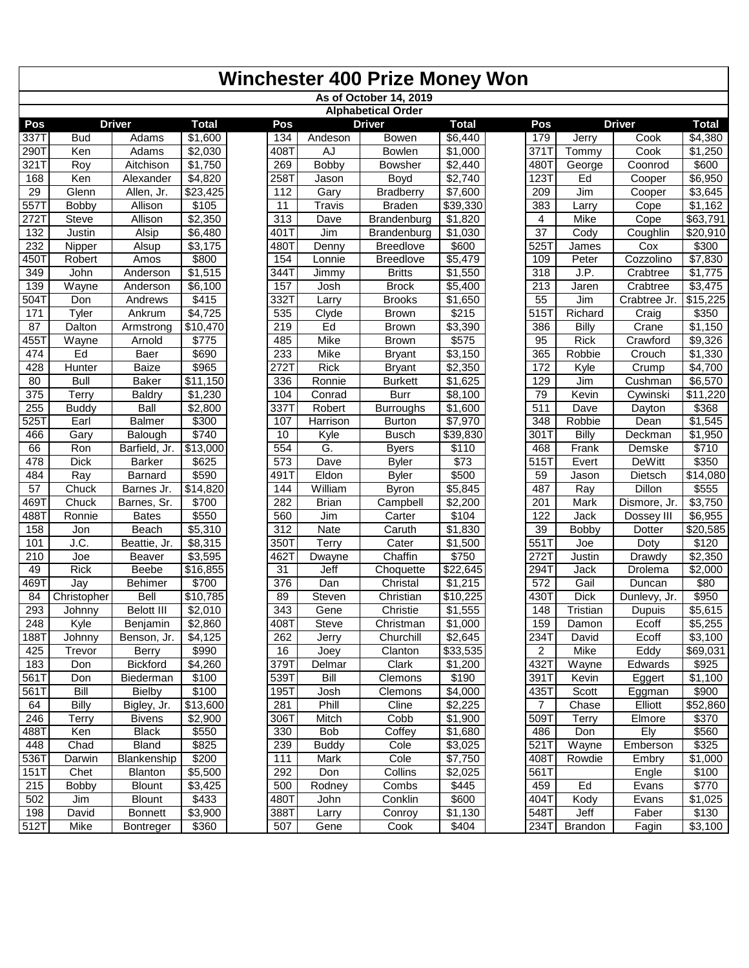| As of October 14, 2019                                                                                                       |                 |                 |                   |                     |
|------------------------------------------------------------------------------------------------------------------------------|-----------------|-----------------|-------------------|---------------------|
| <b>Alphabetical Order</b>                                                                                                    |                 |                 |                   |                     |
| <b>Driver</b><br>Pos<br><b>Driver</b><br><b>Total</b><br>Pos<br><b>Total</b>                                                 | Pos             |                 | <b>Driver</b>     | <b>Total</b>        |
| 337T<br><b>Bud</b><br>Adams<br>\$1,600<br>134<br>Andeson<br>Bowen<br>\$6,440                                                 | 179             | Jerry           | Cook              | \$4,380             |
| 2901<br>Ken<br>\$2,030<br>408T<br>AJ<br>\$1,000<br>Adams<br><b>Bowlen</b>                                                    | 371T            | Tommy           | Cook              | \$1,250             |
| 321 T<br>Roy<br>\$1,750<br>269<br><b>Bobby</b><br>\$2,440<br>Aitchison<br><b>Bowsher</b>                                     | 480T            | George          | Coonrod           | \$600               |
| 2581<br>168<br>Ken<br>\$4,820<br>Boyd<br>\$2,740<br>Alexander<br>Jason                                                       | 123T            | Ed              | Cooper            | \$6,950             |
| 29<br>Glenn<br>\$23,425<br>112<br>Gary<br><b>Bradberry</b><br>\$7,600<br>Allen, Jr.                                          | 209             | Jim             | Cooper            | \$3,645             |
| \$105<br>5571<br>339,330<br>Bobby<br>11<br>Travis<br><b>Braden</b><br>Allison                                                | 383             | Larry           | Cope              | $\overline{$}1,162$ |
| 2721<br>Steve<br>\$2,350<br>313<br>\$1,820<br>Allison<br>Dave<br>Brandenburg                                                 | 4               | <b>Mike</b>     | Cope              | \$63,791            |
| 132<br>\$6,480<br>401T<br>Justin<br>Alsip<br>Jim<br>Brandenburg<br>\$1,030                                                   | $\overline{37}$ | Cody            | Coughlin          | \$20,910            |
| 232<br>\$3,175<br>480T<br>\$600<br>Alsup<br>Denny<br><b>Breedlove</b><br>Nipper                                              | 5251            | James           | Cox               | \$300               |
| \$800<br>4501<br>154<br><b>Breedlove</b><br>\$5,479<br>Robert<br>Amos<br>Lonnie                                              | 109             | Peter           | Cozzolino         | \$7,830             |
| \$1,515<br>349<br>344T<br><b>Britts</b><br>\$1,550<br>John<br>Anderson<br>Jimmy                                              | 318             | J.P.            | Crabtree          | \$1,775             |
| 139<br>Wayne<br>\$6,100<br>157<br>\$5,400<br>Anderson<br><b>Brock</b><br>Josh                                                | 213             | Jaren           | Crabtree          | \$3,475             |
| 5041<br>\$415<br>332T<br>$\overline{$}1,650$<br>Don<br>Andrews<br><b>Brooks</b><br>Larry                                     | 55              | Jim             | Crabtree Jr.      | \$15,225            |
| \$4,725<br>535<br>\$215<br>171<br>Tyler<br>Ankrum<br>Clyde<br><b>Brown</b>                                                   | 5151            | Richard         | Craig             | \$350               |
| 87<br>Dalton<br>\$10,470<br>219<br>Ed<br>\$3,390<br><b>Brown</b><br>Armstrong                                                | 386             | Billy           | Crane             | \$1,150             |
| \$575<br>4551<br>Wayne<br>\$775<br>485<br>Mike<br><b>Brown</b><br>Arnold                                                     | 95              | <b>Rick</b>     | Crawford          | \$9,326             |
| Ed<br>\$690<br>233<br>\$3,150<br>474<br>Baer<br>Mike<br><b>Bryant</b>                                                        | 365             | Robbie          | Crouch            | \$1,330             |
| \$965<br>2721<br>\$2,350<br>428<br><b>Baize</b><br><b>Rick</b><br>Hunter<br><b>Bryant</b>                                    | 172             | Kyle            | Crump<br>Cushman  | \$4,700             |
| 80<br>336<br>\$1,625<br><b>Bull</b><br>Baker<br>\$11,150<br>Ronnie<br><b>Burkett</b>                                         | 129             | Jim             |                   | \$6,570             |
| 375<br>\$1,230<br><b>Burr</b><br>Terry<br><b>Baldry</b><br>104<br>Conrad<br>\$8,100                                          | 79              | Kevin           | Cywinski          | \$11,220            |
| 255<br>Ball<br>\$2,800<br>337T<br>Robert<br>\$1,600<br><b>Buddy</b><br><b>Burroughs</b>                                      | 511             | Dave            | Dayton            | \$368               |
| 5251<br>Earl<br>\$300<br>107<br><b>Balmer</b><br>Harrison<br><b>Burton</b><br>\$7,970<br>\$740<br>10<br><b>Busch</b>         | 348<br>301T     | Robbie<br>Billy | Dean              | \$1,545<br>\$1,950  |
| \$39,830<br>466<br>Gary<br>Balough<br>Kyle<br>\$13,000<br>554<br>G.<br>66<br>\$110<br>Ron                                    | 468             | Frank           | Deckman<br>Demske | \$710               |
| Barfield, Jr.<br><b>Byers</b><br>$\sqrt{$73}$<br>478<br><b>Dick</b><br>\$625<br>573<br><b>Barker</b><br>Dave<br><b>Byler</b> | 515T            | Evert           | <b>DeWitt</b>     | \$350               |
| \$590<br>Eldon<br>\$500<br>484<br>Ray<br>Barnard<br>491T<br><b>Byler</b>                                                     | 59              | Jason           | Dietsch           | \$14,080            |
| $\overline{57}$<br>William<br>\$14,820<br>144<br>\$5,845<br>Chuck<br>Barnes Jr.<br><b>Byron</b>                              | 487             | Ray             | Dillon            | \$555               |
| \$700<br>469T<br>Chuck<br>282<br><b>Brian</b><br>\$2,200<br>Barnes, Sr.<br>Campbell                                          | 201             | Mark            | Dismore, Jr.      | \$3,750             |
| \$550<br>4881<br>Ronnie<br><b>Bates</b><br>560<br>\$104<br>Jim<br>Carter                                                     | 122             | Jack            | Dossey III        | \$6,955             |
| 158<br>\$5,310<br>312<br>\$1,830<br>Beach<br><b>Nate</b><br>Caruth<br>Jon                                                    | 39              | Bobby           | Dotter            | \$20,585            |
| J.C.<br>\$8,315<br>350T<br>\$1,500<br>101<br>Beattie, Jr.<br><b>Terry</b><br>Cater                                           | 5511            | Joe             | Doty              | \$120               |
| 210<br>\$3,595<br>462T<br>Chaffin<br>\$750<br>Joe<br>Beaver<br>Dwayne                                                        | 272T            | <b>Justin</b>   | Drawdy            | \$2,350             |
| 49<br>Rick<br><b>Beebe</b><br>\$16,855<br>Jeff<br>$\overline{$}22,645$<br>31<br>Choquette                                    | 294T            | Jack            | Drolema           | \$2,000             |
| 469T<br>\$700<br>376<br>Dan<br>\$1,215<br>Jay<br><b>Behimer</b><br>Christal                                                  | 572             | Gail            | Duncan            | \$80                |
| $\sqrt{$10,785}$<br>Steven<br>$\sqrt{$10,225}$<br>84<br>Christopher<br><b>Bell</b><br>89<br>Christian                        | 430T            | <b>Dick</b>     | Dunlevy, Jr.      | \$950               |
| 293<br>\$2,010<br>343<br>\$1,555<br><b>Belott III</b><br>Gene<br>Johnny<br>Christie                                          | $\frac{148}{ }$ | <b>Tristian</b> | Dupuis            | \$5,615             |
| 248<br>\$2,860<br>408T<br>Steve<br>\$1,000<br>Kyle<br>Benjamin<br>Christman                                                  | 159             | Damon           | Ecoff             | \$5,255             |
| 188T<br>\$2,645<br>Johnny<br>Benson, Jr.<br>\$4,125<br>262<br>Churchill<br>Jerry                                             | 234T            | David           | Ecoff             | \$3,100             |
| \$990<br>Clanton<br>425<br>Trevor<br><b>Berry</b><br>16<br>Joey<br>\$33,535                                                  | $\overline{c}$  | Mike            | Eddy              | \$69,031            |
| 183<br>Bickford<br>\$4,260<br>379T<br>Clark<br>\$1,200<br>Delmar<br>Don                                                      | 4321            | Wayne           | Edwards           | \$925               |
| \$100<br>539T<br>Bill<br>\$190<br>561T<br>Don<br>Biederman<br>Clemons                                                        | 391T            | Kevin           | Eggert            | \$1,100             |
| \$100<br>Bill<br>561T<br><b>Bielby</b><br>195T<br>Josh<br>Clemons<br>\$4,000                                                 | 435T            | Scott           | Eggman            | \$900               |
| \$13,600<br>$\sqrt{$2,225}$<br>64<br><b>Billy</b><br>281<br>Phill<br>Cline<br>Bigley, Jr.                                    | $\overline{7}$  | Chase           | Elliott           | \$52,860            |
| \$2,900<br>$306\overline{T}$<br>Cobb<br>246<br>Terry<br><b>Bivens</b><br>Mitch<br>\$1,900                                    | 509T            | Terry           | Elmore            | \$370               |
| <b>Black</b><br>\$550<br>Coffey<br>488T<br>Ken<br>330<br>Bob<br>\$1,680                                                      | 486             | Don             | Ely               | \$560               |
| \$825<br>Chad<br>Bland<br>239<br>\$3,025<br>448<br><b>Buddy</b><br>Cole                                                      | 521T            | Wayne           | Emberson          | \$325               |
| 536T<br>\$200<br>Cole<br>\$7,750<br>Blankenship<br>111<br>Mark<br>Darwin                                                     | 408T            | Rowdie          | Embry             | $\overline{$1,000}$ |
| 151T<br>Chet<br>Blanton<br>\$5,500<br>292<br>Don<br>Collins<br>\$2,025                                                       | 561T            |                 | Engle             | \$100               |
| 215<br>\$3,425<br>500<br>\$445<br><b>Bobby</b><br><b>Blount</b><br>Rodney<br>Combs                                           | 459             | Ed              | Evans             | \$770               |
| \$433<br>502<br><b>Blount</b><br>480T<br>Conklin<br>\$600<br>Jim<br>John                                                     | 404T            | Kody            | Evans             | $\overline{$}1,025$ |
| 198<br>\$3,900<br>388T<br>David<br><b>Bonnett</b><br>Conroy<br>\$1,130<br>Larry                                              | 548T            | Jeff            | Faber             | \$130               |
| 512T<br>\$360<br>507<br>Mike<br>Gene<br>Cook<br>\$404<br><b>Bontreger</b>                                                    | 234T            | <b>Brandon</b>  | Fagin             | \$3,100             |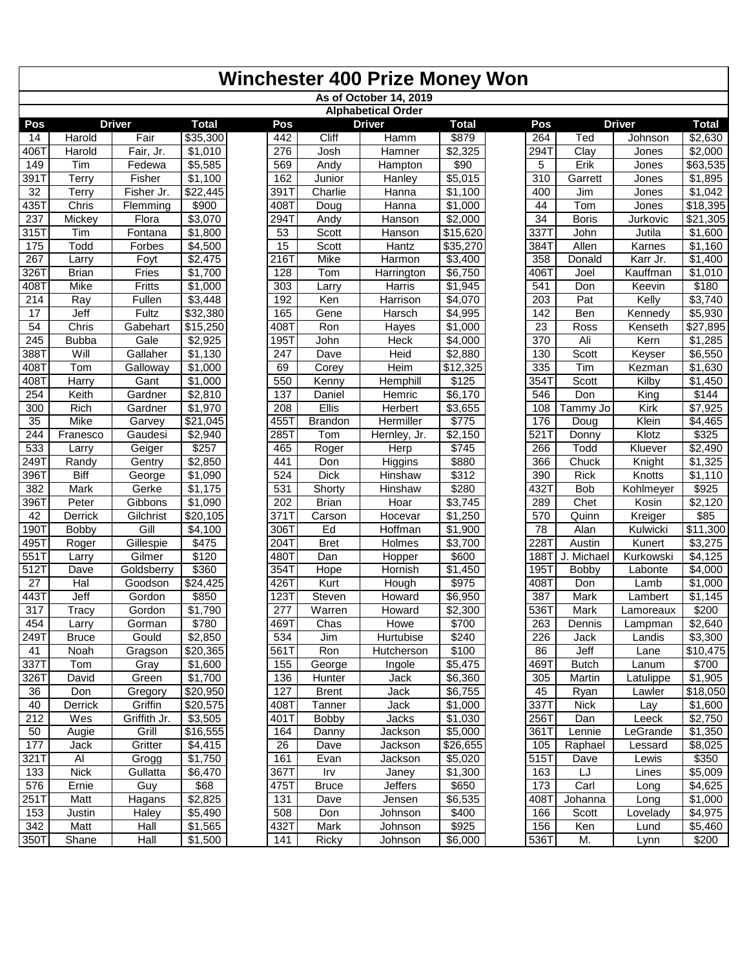|                   |                            |                      |                     |                  |                | Winchester 400 Prize Money Won |                     |                        |              |                  |                      |
|-------------------|----------------------------|----------------------|---------------------|------------------|----------------|--------------------------------|---------------------|------------------------|--------------|------------------|----------------------|
|                   |                            |                      |                     |                  |                | As of October 14, 2019         |                     |                        |              |                  |                      |
|                   |                            |                      |                     |                  |                | <b>Alphabetical Order</b>      |                     |                        |              |                  |                      |
| Pos               |                            | <b>Driver</b>        | <b>Total</b>        | Pos              |                | <b>Driver</b>                  | <b>Total</b>        | Pos                    |              | <b>Driver</b>    | <b>Total</b>         |
| 14                | Harold                     | Fair                 | \$35,300            | 442              | Cliff          | Hamm                           | \$879               | 264                    | Ted          | Johnson          | $\overline{$}2,630$  |
| 406T              | Harold                     | Fair, Jr.            | \$1,010             | 276              | Josh           | Hamner                         | \$2,325             | 294T                   | Clay         | Jones            | \$2,000              |
| 149               | Tim                        | Fedewa               | \$5,585             | 569              | Andy           | Hampton                        | \$90                | 5                      | Erik         | Jones            | \$63,535             |
| 3911              | Terry                      | Fisher               | \$1,100             | 162              | Junior         | Hanley                         | \$5,015             | 310                    | Garrett      | Jones            | \$1,895              |
| 32                | Terry                      | Fisher Jr.           | \$22,445            | 391T             | Charlie        | Hanna                          | \$1,100             | 400                    | Jim          | Jones            | \$1,042              |
| 4351              | Chris                      | Flemming             | \$900               | 408T             | Doug           | Hanna                          | \$1,000             | 44                     | Tom          | Jones            | 318,395              |
| 237               | Mickey                     | Flora                | \$3,070             | 294T             | Andy           | Hanson                         | \$2,000             | 34                     | <b>Boris</b> | Jurkovic         | $\overline{$}21,305$ |
| 315T              | Tim                        | Fontana              | \$1,800             | 53               | Scott          | Hanson                         | \$15,620            | 3371                   | John         | Jutila           | $\overline{$}1,600$  |
| 175               | Todd                       | Forbes               | \$4,500             | $\overline{15}$  | Scott          | Hantz                          | \$35,270            | 384T                   | Allen        | Karnes           | \$1,160              |
| 267               | Larry                      | Foyt                 | \$2,475             | 216T             | Mike           | Harmon                         | \$3,400             | 358                    | Donald       | Karr Jr.         | \$1,400              |
| $\overline{3261}$ | <b>Brian</b>               | Fries                | \$1,700             | 128              | Tom            | Harrington                     | \$6,750             | 4061                   | Joel         | Kauffman         | $\sqrt{$1,010}$      |
| 408T              | Mike                       | Fritts               | \$1,000             | 303              | Larry          | Harris                         | \$1,945             | 541                    | Don          | Keevin           | \$180                |
| 214               | Ray                        | Fullen               | \$3,448             | 192              | Ken            | Harrison                       | \$4,070             | 203                    | Pat          | Kelly            | \$3,740              |
| 17                | Jeff                       | Fultz                | \$32,380            | 165              | Gene           | Harsch                         | \$4,995             | 142                    | Ben          | Kennedy          | \$5,930              |
| 54<br>245         | Chris                      | Gabehart<br>Gale     | \$15,250<br>\$2,925 | 408T<br>1951     | Ron            | Hayes                          | \$1,000<br>\$4,000  | $\overline{23}$<br>370 | Ross<br>Ali  | Kenseth<br>Kern  | \$27,895<br>\$1,285  |
| 388T              | <b>Bubba</b><br>Will       |                      | \$1,130             | $\overline{247}$ | John           | Heck                           |                     |                        | Scott        |                  |                      |
| 4081              | Tom                        | Gallaher<br>Galloway | \$1,000             | 69               | Dave<br>Corey  | Heid<br>Heim                   | \$2,880<br>\$12,325 | 130<br>335             | Tim          | Keyser<br>Kezman | \$6,550<br>\$1,630   |
| 408T              | Harry                      | Gant                 | \$1,000             | 550              | Kenny          | Hemphill                       | \$125               | 3541                   | Scott        | Kilby            | $\sqrt{$1,450}$      |
| 254               | Keith                      | Gardner              | \$2,810             | 137              | <b>Daniel</b>  | Hemric                         | \$6,170             | 546                    | Don          | King             | \$144                |
| 300               | Rich                       | Gardner              | \$1,970             | 208              | <b>Ellis</b>   | <b>Herbert</b>                 | \$3,655             | 108                    | Tammy Jo     | Kirk             | \$7,925              |
| 35                | Mike                       | Garvey               | \$21,045            | 455T             | <b>Brandon</b> | Hermiller                      | \$775               | 176                    | Doug         | Klein            | $\sqrt{$4,465}$      |
| 244               | Franesco                   | Gaudesi              | \$2,940             | 285T             | Tom            | Hernley, Jr.                   | \$2,150             | 521T                   | Donny        | Klotz            | \$325                |
| 533               | Larry                      | Geiger               | \$257               | 465              | Roger          | <b>Herp</b>                    | \$745               | 266                    | Todd         | Kluever          | \$2,490              |
| 249T              | Randy                      | Gentry               | \$2,850             | 441              | Don            | Higgins                        | \$880               | 366                    | Chuck        | Knight           | \$1,325              |
| 396T              | Biff                       | George               | \$1,090             | 524              | <b>Dick</b>    | <b>Hinshaw</b>                 | \$312               | 390                    | <b>Rick</b>  | Knotts           | \$1,110              |
| 382               | Mark                       | Gerke                | \$1,175             | 531              | Shorty         | Hinshaw                        | \$280               | 4321                   | <b>Bob</b>   | Kohlmeyer        | \$925                |
| 396T              | Peter                      | Gibbons              | \$1,090             | 202              | <b>Brian</b>   | Hoar                           | \$3,745             | 289                    | Chet         | Kosin            | \$2,120              |
| 42                | Derrick                    | Gilchrist            | \$20,105            | 371T             | Carson         | Hocevar                        | \$1,250             | 570                    | Quinn        | Kreiger          | \$85                 |
| 1901              | <b>Bobby</b>               | Gill                 | \$4,100             | 306T             | Ed             | Hoffman                        | \$1,900             | $\overline{78}$        | Alan         | Kulwicki         | \$11,300             |
| 4951              | Roger                      | Gillespie            | \$475               | 204T             | <b>Bret</b>    | Holmes                         | \$3,700             | 2281                   | Austin       | Kunert           | \$3,275              |
| 551T              | Larry                      | Gilmer               | \$120               | 480T             | Dan            | Hopper                         | \$600               | 188T                   | J. Michael   | Kurkowski        | \$4,125              |
| 512               | Dave                       | Goldsberry           | \$360               | 354T             | <b>Hope</b>    | Hornish                        | \$1,450             | 195T                   | <b>Bobby</b> | Labonte          | \$4,000              |
| 27                | Hal                        | Goodson              | \$24,425            | 426T             | Kurt           | Hough                          | \$975               | 408T                   | Don          | Lamb             | \$1,000              |
| 443T              | Jeff                       | Gordon               | \$850               | 123T             | Steven         | Howard                         | \$6,950             | 387                    | Mark         | Lambert          | \$1,145              |
| 317               | <b>Tracy</b>               | Gordon               | \$1,790             | 277              | Warren         | Howard                         | \$2,300             | 536T                   | <b>Mark</b>  | Lamoreaux        | \$200                |
| 454               | Larry                      | Gorman               | \$780               | 469T             | Chas           | Howe                           | \$700               | 263                    | Dennis       | Lampman          | \$2,640              |
| 249T              | <b>Bruce</b>               | Gould                | \$2,850             | 534              | Jim            | Hurtubise                      | \$240               | 226                    | Jack         | Landis           | \$3,300              |
| 41                | Noah                       | Gragson              | \$20,365            | 561T             | Ron            | Hutcherson                     | \$100               | 86                     | Jeff         | Lane             | \$10,475             |
| 337T              | $\overline{T}$ om          | Gray                 | \$1,600             | 155              | George         | Ingole                         | \$5,475             | 469T                   | <b>Butch</b> | Lanum            | \$700                |
| 326T              | David                      | Green                | \$1,700             | 136              | Hunter         | Jack                           | \$6,360             | 305                    | Martin       | Latulippe        | \$1,905              |
| 36                | Don                        | Gregory              | \$20,950            | 127              | <b>Brent</b>   | Jack                           | \$6,755             | 45                     | Ryan         | Lawler           | \$18,050             |
| 40                | Derrick                    | Griffin              | \$20,575            | 408T             | Tanner         | Jack                           | \$1,000             | 337T                   | <b>Nick</b>  | Lay              | \$1,600              |
| 212               | $\overline{\mathsf{W}}$ es | Griffith Jr.         | \$3,505             | 401T             | <b>Bobby</b>   | Jacks                          | $\overline{$}1,030$ | 256T                   | Dan          | Leeck            | \$2,750              |
| 50                | Augie                      | Grill                | \$16,555            | 164              | Danny          | Jackson                        | \$5,000             | 361T                   | Lennie       | LeGrande         | \$1,350              |
| 177               | Jack                       | Gritter              | \$4,415             | 26               | Dave           | Jackson                        | \$26,655            | 105                    | Raphael      | Lessard          | \$8,025              |
| 321T              | Al                         | Grogg                | \$1,750             | 161              | Evan           | Jackson                        | \$5,020             | 515T                   | Dave         | Lewis            | \$350                |
| 133               | Nick                       | Gullatta             | \$6,470             | 367T             | Irv            | Janey                          | \$1,300             | 163                    | LJ           | Lines            | \$5,009              |
| 576               | Ernie                      | Guy                  | \$68                | 475T             | <b>Bruce</b>   | Jeffers                        | \$650               | $\overline{173}$       | Carl         | Long             | \$4,625              |
| 251T              | Matt                       | Hagans               | \$2,825             | 131              | Dave           | Jensen                         | \$6,535             | 408T                   | Johanna      | Long             | \$1,000              |
| 153               | Justin                     | Haley                | \$5,490             | 508              | Don            | Johnson                        | \$400               | 166                    | Scott        | Lovelady         | \$4,975              |
| 342               | Matt                       | Hall                 | \$1,565             | 432T             | Mark           | Johnson                        | \$925               | 156                    | Ken          | Lund             | \$5,460              |
| 350T              | Shane                      | Hall                 | \$1,500             | 141              | Ricky          | Johnson                        | \$6,000             | 536T                   | M.           | Lynn             | \$200                |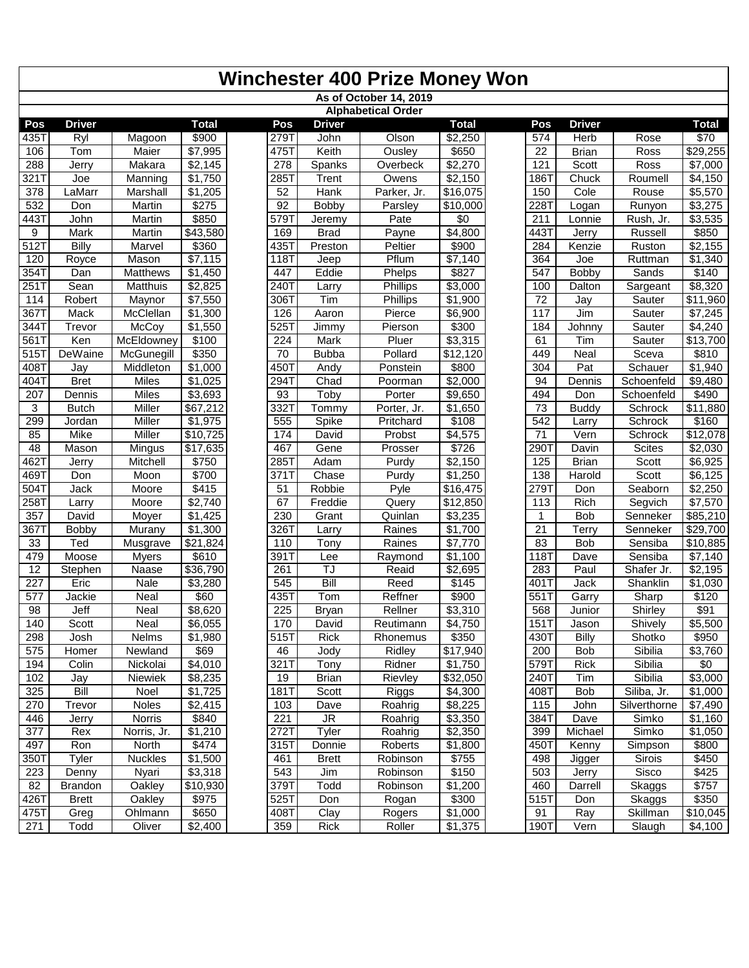|                        |                 |                         |                     |             |                       | <b>Winchester 400 Prize Money Won</b> |                      |                   |                    |                        |                             |
|------------------------|-----------------|-------------------------|---------------------|-------------|-----------------------|---------------------------------------|----------------------|-------------------|--------------------|------------------------|-----------------------------|
|                        |                 |                         |                     |             |                       | As of October 14, 2019                |                      |                   |                    |                        |                             |
|                        |                 |                         |                     |             |                       | <b>Alphabetical Order</b>             |                      |                   |                    |                        |                             |
| Pos                    | <b>Driver</b>   |                         | <b>Total</b>        | Pos         | <b>Driver</b>         |                                       | <b>Total</b>         | Pos               | <b>Driver</b>      |                        | <b>Total</b>                |
| 435T                   | Ryl             | Magoon                  | \$900               | 279T        | John                  | Olson                                 | \$2,250              | 574               | Herb               | Rose                   | \$70                        |
| 106                    | Tom             | Maier                   | \$7,995             | 475T        | Keith                 | Ousley                                | \$650                | 22                | <b>Brian</b>       | Ross                   | \$29,255                    |
| 288                    | Jerry           | Makara                  | \$2,145             | 278         | Spanks                | Overbeck                              | \$2,270              | 121               | Scott              | Ross                   | \$7,000                     |
| 321T                   | Joe             | Manning                 | \$1,750             | 285T        | <b>Trent</b>          | Owens                                 | \$2,150              | 186T              | Chuck              | Roumell                | \$4,150                     |
| 378                    | LaMarr          | Marshall                | \$1,205             | 52          | Hank                  | Parker, Jr.                           | \$16,075             | 150               | Cole               | Rouse                  | \$5,570                     |
| 532                    | Don             | Martin                  | \$275               | 92          | Bobby                 | Parsley                               | \$10,000             | 2281              | Logan              | Runyon                 | \$3,275                     |
| 443T                   | John            | Martin                  | \$850               | 579T        | Jeremy                | Pate                                  | $\sqrt{6}$           | 211               | Lonnie             | Rush, Jr.              | \$3,535                     |
| 9                      | Mark            | Martin                  | \$43,580            | 169         | <b>Brad</b>           | Payne                                 | $\overline{$}4,800$  | 443T              | Jerry              | Russell                | \$850                       |
| 512                    | Billy           | Marvel                  | \$360               | 435T        | Preston               | Peltier                               | \$900                | 284               | Kenzie             | Ruston                 | \$2,155                     |
| 120                    | Royce           | Mason                   | \$7,115             | 118T        | Jeep                  | Pflum                                 | \$7,140              | 364               | Joe                | Ruttman                | \$1,340                     |
| 354T                   | Dan             | <b>Matthews</b>         | \$1,450             | 447         | Eddie                 | Phelps                                | \$827                | 547               | Bobby              | Sands                  | \$140                       |
| 251T                   | Sean            | <b>Matthuis</b>         | \$2,825             | 240T        | Larry                 | Phillips                              | \$3,000              | 100               | Dalton             | Sargeant               | \$8,320                     |
| 114                    | Robert          | Maynor                  | \$7,550             | 306T        | Tim                   | <b>Phillips</b>                       | \$1,900              | 72                | Jay                | Sauter                 | \$11,960                    |
| 367T                   | Mack            | McClellan               | \$1,300             | 126         | Aaron                 | Pierce                                | \$6,900              | 117               | Jim                | Sauter                 | \$7,245                     |
| 344T                   | Trevor          | McCoy                   | \$1,550             | 525T        | Jimmy                 | Pierson                               | \$300                | 184               | Johnny             | Sauter                 | \$4,240                     |
| 561T                   | Ken             | McEldowney              | \$100               | 224         | Mark                  | Pluer                                 | \$3,315              | 61                | Tim                | Sauter                 | \$13,700                    |
| 5151                   | DeWaine         | McGunegill              | \$350               | 70          | <b>Bubba</b>          | Pollard                               | \$12,120             | 449               | Neal               | Sceva                  | \$810                       |
| 408T                   | Jay             | Middleton               | \$1,000             | 4501        | Andy                  | Ponstein                              | \$800                | 304               | Pat                | Schauer                | \$1,940                     |
| 404T                   | <b>Bret</b>     | <b>Miles</b>            | \$1,025             | 294T        | Chad                  | Poorman                               | \$2,000              | 94                | Dennis             | Schoenfeld             | \$9,480                     |
| 207                    | Dennis          | <b>Miles</b>            | \$3,693             | 93          | Toby                  | Porter                                | \$9,650              | 494               | Don                | Schoenfeld             | \$490                       |
| 3                      | <b>Butch</b>    | Miller                  | \$67,212            | 3321        | Tommy                 | Porter, Jr.                           | \$1,650              | 73                | <b>Buddy</b>       | Schrock                | \$11,880                    |
| 299                    | Jordan          | Miller                  | \$1,975             | 555         | Spike                 | Pritchard                             | $\overline{$108}$    | $\overline{542}$  | Larry              | Schrock                | \$160                       |
| 85                     | Mike            | Miller                  | \$10,725            | 174         | David                 | Probst                                | \$4,575              | 71                | Vern               | Schrock                | \$12,078                    |
| 48                     | Mason           | Mingus                  | \$17,635            | 467         | Gene                  | Prosser                               | \$726                | 290               | Davin              | <b>Scites</b>          | \$2,030                     |
| 4621                   | Jerry           | Mitchell                | \$750               | 285T        | Adam                  | Purdy                                 | \$2,150              | 125               | <b>Brian</b>       | Scott                  | \$6,925                     |
| 4691                   | Don             | Moon                    | \$700               | 371T        | Chase                 | Purdy                                 | \$1,250              | 138               | Harold             | Scott                  | \$6,125                     |
| 504T                   | Jack            | Moore                   | \$415               | 51<br>67    | Robbie                | Pyle                                  | \$16,475             | 279T              | Don                | Seaborn                | \$2,250                     |
| 258T                   | Larry           | Moore                   | \$2,740             |             | Freddie               | Query                                 | $\overline{$}12,850$ | 113               | Rich               | Segvich                | \$7,570                     |
| 357                    | David           | Moyer                   | \$1,425             | 230<br>326T | Grant                 | Quinlan<br>Raines                     | \$3,235              | 1                 | <b>Bob</b>         | Senneker               | \$85,210                    |
| 3671                   | <b>Bobby</b>    | Murany                  | \$1,300<br>\$21,824 |             | Larry                 |                                       | \$1,700<br>\$7,770   | 21                | Terry              | Senneker<br>Sensiba    | \$29,700                    |
| 33<br>479              | Ted<br>Moose    | Musgrave                | \$610               | 110<br>391T | Tony                  | Raines                                | $\overline{$}1,100$  | 83<br><b>118T</b> | <b>Bob</b><br>Dave | Sensiba                | \$10,885<br>$\sqrt{$7,140}$ |
|                        |                 | <b>Myers</b>            |                     |             | Lee<br>$\overline{J}$ | Raymond                               |                      |                   |                    |                        |                             |
| 12<br>$\overline{227}$ | Stephen<br>Eric | Naase<br>Nale           | \$36,790<br>\$3,280 | 261<br>545  | Bill                  | Reaid<br>Reed                         | \$2,695<br>\$145     | 283<br>401T       | Paul               | Shafer Jr.<br>Shanklin | \$2,195                     |
| 577                    |                 | Neal                    | \$60                | 435T        | Tom                   | Reffner                               | \$900                | 551T              | Jack<br>Garry      | Sharp                  | \$1,030<br>\$120            |
| 98                     | Jackie<br>Jeff  | Neal                    | \$8,620             | 225         | <b>Bryan</b>          | Rellner                               | \$3,310              | 568               | Junior             | Shirley                | \$91                        |
| 140                    | Scott           | Neal                    | \$6,055             | 170         | David                 | Reutimann                             | \$4,750              | 151T              |                    | Shively                | \$5,500                     |
| 298                    | Josh            | Nelms                   | \$1,980             | 515T        | Rick                  | Rhonemus                              | \$350                | 430T              | Jason<br>Billy     | Shotko                 | \$950                       |
| 575                    | Homer           | Newland                 | \$69                | 46          | Jody                  | Ridley                                | \$17,940             | 200               | <b>Bob</b>         | Sibilia                | \$3,760                     |
| 194                    | Colin           | Nickolai                | \$4,010             | 321T        | Tony                  | Ridner                                | \$1,750              | 579T              | Rick               | Sibilia                | \$0                         |
| 102                    | Jay             | Niewiek                 | \$8,235             | 19          | <b>Brian</b>          | Rievley                               | \$32,050             | 240T              | Tim                | Sibilia                | \$3,000                     |
| 325                    | <b>Bill</b>     | Noel                    | \$1,725             | 181T        | Scott                 | Riggs                                 | \$4,300              | 408T              | Bob                | Siliba, Jr.            | \$1,000                     |
| 270                    | Trevor          | <b>Noles</b>            | \$2,415             | 103         | Dave                  | Roahrig                               | \$8,225              | 115               | John               | Silverthorne           | \$7,490                     |
|                        |                 | Norris                  | \$840               |             | <b>JR</b>             |                                       |                      | 384T              |                    |                        |                             |
| 446<br>377             | Jerry<br>Rex    | Norris, Jr.             | \$1,210             | 221<br>272T | Tyler                 | Roahrig<br>Roahrig                    | \$3,350<br>\$2,350   | 399               | Dave<br>Michael    | Simko<br>Simko         | \$1,160<br>\$1,050          |
| 497                    | Ron             | North                   | \$474               | 315T        | Donnie                | Roberts                               | \$1,800              | 450T              | Kenny              | Simpson                | \$800                       |
|                        | Tyler           |                         |                     |             |                       |                                       | \$755                | 498               |                    |                        |                             |
| 350T<br>223            |                 | <b>Nuckles</b><br>Nyari | \$1,500<br>\$3,318  | 461<br>543  | <b>Brett</b>          | Robinson<br>Robinson                  | \$150                | 503               | Jigger             | Sirois<br>Sisco        | \$450<br>\$425              |
| 82                     | Denny           |                         | \$10,930            | 379T        | Jim<br>Todd           |                                       | \$1,200              | 460               | Jerry<br>Darrell   |                        | \$757                       |
| 426                    | <b>Brandon</b>  | Oakley<br><b>Oakley</b> | \$975               | 525T        |                       | Robinson                              | \$300                | 515T              |                    | Skaggs                 | \$350                       |
|                        | <b>Brett</b>    |                         | \$650               | 408T        | Don                   | Rogan<br>Rogers                       |                      |                   | Don<br>Ray         | Skaggs<br>Skillman     | $\sqrt{$10,045}$            |
| 475T                   | Greg<br>Todd    | Ohlmann                 | $\sqrt{$2,400}$     | 359         | Clay<br>Rick          |                                       | \$1,000              | 91<br>190T        | Vern               |                        |                             |
| 271                    |                 | Oliver                  |                     |             |                       | Roller                                | \$1,375              |                   |                    | Slaugh                 | \$4,100                     |